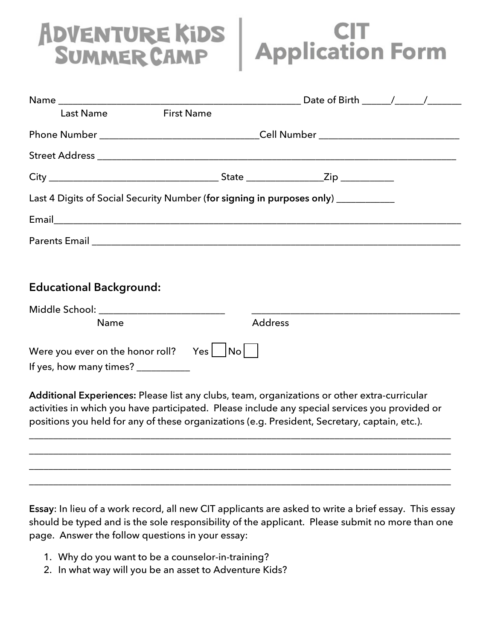## ADVENTURE KIDS

## **CIT<br>Application Form**

| <b>Last Name</b>                                                                                                                                                                                                                                                                                | <b>First Name</b> |                |  |  |  |
|-------------------------------------------------------------------------------------------------------------------------------------------------------------------------------------------------------------------------------------------------------------------------------------------------|-------------------|----------------|--|--|--|
|                                                                                                                                                                                                                                                                                                 |                   |                |  |  |  |
|                                                                                                                                                                                                                                                                                                 |                   |                |  |  |  |
|                                                                                                                                                                                                                                                                                                 |                   |                |  |  |  |
| Last 4 Digits of Social Security Number (for signing in purposes only) __________                                                                                                                                                                                                               |                   |                |  |  |  |
|                                                                                                                                                                                                                                                                                                 |                   |                |  |  |  |
| Parents Email Parents and Parents and Parents and Parents and Parents and Parents and Parents and Parents and P                                                                                                                                                                                 |                   |                |  |  |  |
|                                                                                                                                                                                                                                                                                                 |                   |                |  |  |  |
| <b>Educational Background:</b>                                                                                                                                                                                                                                                                  |                   |                |  |  |  |
| Middle School: ________________________<br>Name                                                                                                                                                                                                                                                 |                   | <b>Address</b> |  |  |  |
| Were you ever on the honor roll? Yes $ $ $ $ No $ $<br>If yes, how many times? __________                                                                                                                                                                                                       |                   |                |  |  |  |
| Additional Experiences: Please list any clubs, team, organizations or other extra-curricular<br>activities in which you have participated. Please include any special services you provided or<br>positions you held for any of these organizations (e.g. President, Secretary, captain, etc.). |                   |                |  |  |  |
|                                                                                                                                                                                                                                                                                                 |                   |                |  |  |  |
|                                                                                                                                                                                                                                                                                                 |                   |                |  |  |  |
|                                                                                                                                                                                                                                                                                                 |                   |                |  |  |  |

**Essay**: In lieu of a work record, all new CIT applicants are asked to write a brief essay. This essay should be typed and is the sole responsibility of the applicant. Please submit no more than one page. Answer the follow questions in your essay:

- 1. Why do you want to be a counselor-in-training?
- 2. In what way will you be an asset to Adventure Kids?